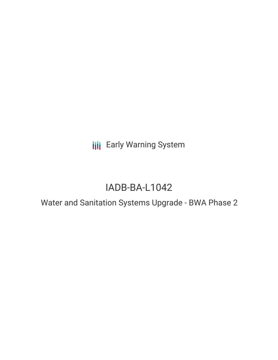**III** Early Warning System

# IADB-BA-L1042

Water and Sanitation Systems Upgrade - BWA Phase 2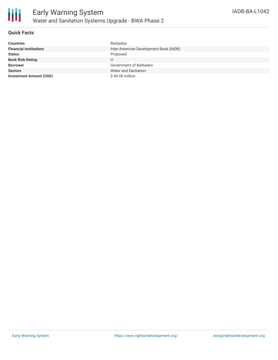

## **Quick Facts**

| <b>Countries</b>               | <b>Barbados</b>                        |
|--------------------------------|----------------------------------------|
| <b>Financial Institutions</b>  | Inter-American Development Bank (IADB) |
| <b>Status</b>                  | Proposed                               |
| <b>Bank Risk Rating</b>        | U                                      |
| <b>Borrower</b>                | Government of Barbados                 |
| <b>Sectors</b>                 | Water and Sanitation                   |
| <b>Investment Amount (USD)</b> | $$40.00$ million                       |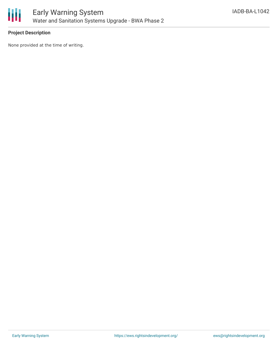

## **Project Description**

None provided at the time of writing.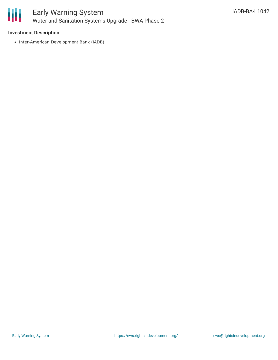

#### **Investment Description**

• Inter-American Development Bank (IADB)